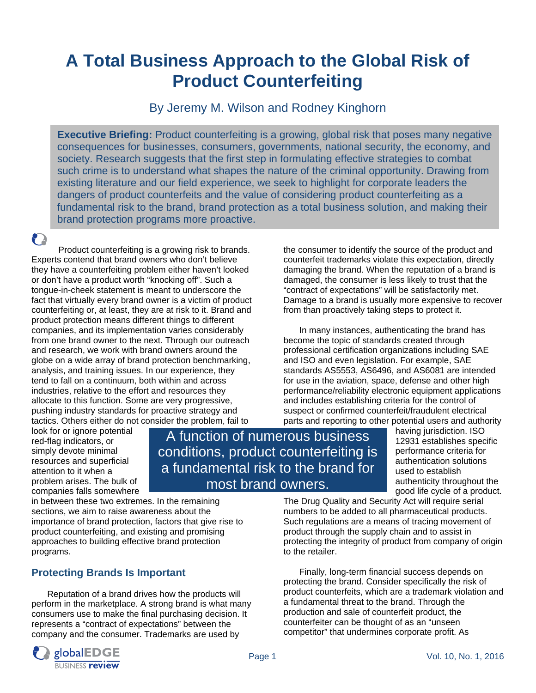# **A Total Business Approach to the Global Risk of Product Counterfeiting**

By Jeremy M. Wilson and Rodney Kinghorn

**Executive Briefing:** Product counterfeiting is a growing, global risk that poses many negative consequences for businesses, consumers, governments, national security, the economy, and society. Research suggests that the first step in formulating effective strategies to combat such crime is to understand what shapes the nature of the criminal opportunity. Drawing from existing literature and our field experience, we seek to highlight for corporate leaders the dangers of product counterfeits and the value of considering product counterfeiting as a fundamental risk to the brand, brand protection as a total business solution, and making their brand protection programs more proactive.

P

Product counterfeiting is a growing risk to brands. Experts contend that brand owners who don't believe they have a counterfeiting problem either haven't looked or don't have a product worth "knocking off". Such a tongue-in-cheek statement is meant to underscore the fact that virtually every brand owner is a victim of product counterfeiting or, at least, they are at risk to it. Brand and product protection means different things to different companies, and its implementation varies considerably from one brand owner to the next. Through our outreach and research, we work with brand owners around the globe on a wide array of brand protection benchmarking, analysis, and training issues. In our experience, they tend to fall on a continuum, both within and across industries, relative to the effort and resources they allocate to this function. Some are very progressive, pushing industry standards for proactive strategy and tactics. Others either do not consider the problem, fail to

the consumer to identify the source of the product and counterfeit trademarks violate this expectation, directly damaging the brand. When the reputation of a brand is damaged, the consumer is less likely to trust that the "contract of expectations" will be satisfactorily met. Damage to a brand is usually more expensive to recover from than proactively taking steps to protect it.

In many instances, authenticating the brand has become the topic of standards created through professional certification organizations including SAE and ISO and even legislation. For example, SAE standards AS5553, AS6496, and AS6081 are intended for use in the aviation, space, defense and other high performance/reliability electronic equipment applications and includes establishing criteria for the control of suspect or confirmed counterfeit/fraudulent electrical parts and reporting to other potential users and authority

look for or ignore potential red-flag indicators, or simply devote minimal resources and superficial attention to it when a problem arises. The bulk of companies falls somewhere

A function of numerous business conditions, product counterfeiting is a fundamental risk to the brand for most brand owners.

having jurisdiction. ISO 12931 establishes specific performance criteria for authentication solutions used to establish authenticity throughout the good life cycle of a product. The Drug Quality and Security Act will require serial

in between these two extremes. In the remaining sections, we aim to raise awareness about the importance of brand protection, factors that give rise to product counterfeiting, and existing and promising approaches to building effective brand protection programs.

# **Protecting Brands Is Important**

Reputation of a brand drives how the products will perform in the marketplace. A strong brand is what many consumers use to make the final purchasing decision. It represents a "contract of expectations" between the company and the consumer. Trademarks are used by



to the retailer.

Finally, long-term financial success depends on protecting the brand. Consider specifically the risk of product counterfeits, which are a trademark violation and a fundamental threat to the brand. Through the production and sale of counterfeit product, the counterfeiter can be thought of as an "unseen competitor" that undermines corporate profit. As

protecting the integrity of product from company of origin

numbers to be added to all pharmaceutical products. Such regulations are a means of tracing movement of product through the supply chain and to assist in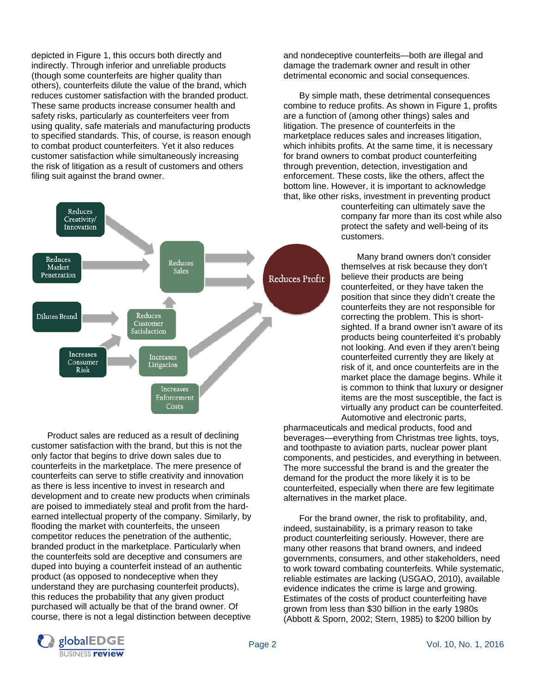depicted in Figure 1, this occurs both directly and indirectly. Through inferior and unreliable products (though some counterfeits are higher quality than others), counterfeits dilute the value of the brand, which reduces customer satisfaction with the branded product. These same products increase consumer health and safety risks, particularly as counterfeiters veer from using quality, safe materials and manufacturing products to specified standards. This, of course, is reason enough to combat product counterfeiters. Yet it also reduces customer satisfaction while simultaneously increasing the risk of litigation as a result of customers and others filing suit against the brand owner.



 Product sales are reduced as a result of declining customer satisfaction with the brand, but this is not the only factor that begins to drive down sales due to counterfeits in the marketplace. The mere presence of counterfeits can serve to stifle creativity and innovation as there is less incentive to invest in research and development and to create new products when criminals are poised to immediately steal and profit from the hardearned intellectual property of the company. Similarly, by flooding the market with counterfeits, the unseen competitor reduces the penetration of the authentic, branded product in the marketplace. Particularly when the counterfeits sold are deceptive and consumers are duped into buying a counterfeit instead of an authentic product (as opposed to nondeceptive when they understand they are purchasing counterfeit products), this reduces the probability that any given product purchased will actually be that of the brand owner. Of course, there is not a legal distinction between deceptive

and nondeceptive counterfeits—both are illegal and damage the trademark owner and result in other detrimental economic and social consequences.

 By simple math, these detrimental consequences combine to reduce profits. As shown in Figure 1, profits are a function of (among other things) sales and litigation. The presence of counterfeits in the marketplace reduces sales and increases litigation, which inhibits profits. At the same time, it is necessary for brand owners to combat product counterfeiting through prevention, detection, investigation and enforcement. These costs, like the others, affect the bottom line. However, it is important to acknowledge that, like other risks, investment in preventing product

counterfeiting can ultimately save the company far more than its cost while also protect the safety and well-being of its customers.

 Many brand owners don't consider themselves at risk because they don't believe their products are being counterfeited, or they have taken the position that since they didn't create the counterfeits they are not responsible for correcting the problem. This is shortsighted. If a brand owner isn't aware of its products being counterfeited it's probably not looking. And even if they aren't being counterfeited currently they are likely at risk of it, and once counterfeits are in the market place the damage begins. While it is common to think that luxury or designer items are the most susceptible, the fact is virtually any product can be counterfeited. Automotive and electronic parts,

pharmaceuticals and medical products, food and beverages—everything from Christmas tree lights, toys, and toothpaste to aviation parts, nuclear power plant components, and pesticides, and everything in between. The more successful the brand is and the greater the demand for the product the more likely it is to be counterfeited, especially when there are few legitimate alternatives in the market place.

 For the brand owner, the risk to profitability, and, indeed, sustainability, is a primary reason to take product counterfeiting seriously. However, there are many other reasons that brand owners, and indeed governments, consumers, and other stakeholders, need to work toward combating counterfeits. While systematic, reliable estimates are lacking (USGAO, 2010), available evidence indicates the crime is large and growing. Estimates of the costs of product counterfeiting have grown from less than \$30 billion in the early 1980s (Abbott & Sporn, 2002; Stern, 1985) to \$200 billion by

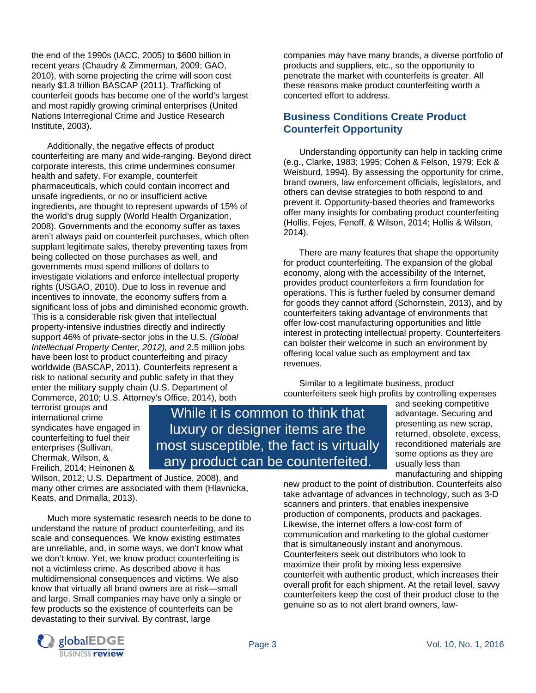the end of the 1990s (IACC, 2005) to \$600 billion in recent years (Chaudry & Zimmerman, 2009; GAO, 2010), with some projecting the crime will soon cost nearly \$1.8 trillion BASCAP (2011). Trafficking of counterfeit goods has become one of the world's largest and most rapidly growing criminal enterprises (United Nations Interregional Crime and Justice Research Institute, 2003).

 Additionally, the negative effects of product counterfeiting are many and wide-ranging. Beyond direct corporate interests, this crime undermines consumer health and safety. For example, counterfeit pharmaceuticals, which could contain incorrect and unsafe ingredients, or no or insufficient active ingredients, are thought to represent upwards of 15% of the world's drug supply (World Health Organization, 2008). Governments and the economy suffer as taxes aren't always paid on counterfeit purchases, which often supplant legitimate sales, thereby preventing taxes from being collected on those purchases as well, and governments must spend millions of dollars to investigate violations and enforce intellectual property rights (USGAO, 2010). Due to loss in revenue and incentives to innovate, the economy suffers from a significant loss of jobs and diminished economic growth. This is a considerable risk given that intellectual property-intensive industries directly and indirectly support 46% of private-sector jobs in the U.S. *(Global Intellectual Property Center, 2012), and* 2.5 million jobs have been lost to product counterfeiting and piracy worldwide (BASCAP, 2011). *C*ounterfeits represent a risk to national security and public safety in that they enter the military supply chain (U.S. Department of Commerce, 2010; U.S. Attorney's Office, 2014), both

companies may have many brands, a diverse portfolio of products and suppliers, etc., so the opportunity to penetrate the market with counterfeits is greater. All these reasons make product counterfeiting worth a concerted effort to address.

#### **Business Conditions Create Product Counterfeit Opportunity**

Understanding opportunity can help in tackling crime (e.g., Clarke, 1983; 1995; Cohen & Felson, 1979; Eck & Weisburd, 1994). By assessing the opportunity for crime, brand owners, law enforcement officials, legislators, and others can devise strategies to both respond to and prevent it. Opportunity-based theories and frameworks offer many insights for combating product counterfeiting (Hollis, Fejes, Fenoff, & Wilson, 2014; Hollis & Wilson, 2014).

 There are many features that shape the opportunity for product counterfeiting. The expansion of the global economy, along with the accessibility of the Internet, provides product counterfeiters a firm foundation for operations. This is further fueled by consumer demand for goods they cannot afford (Schornstein, 2013), and by counterfeiters taking advantage of environments that offer low-cost manufacturing opportunities and little interest in protecting intellectual property. Counterfeiters can bolster their welcome in such an environment by offering local value such as employment and tax revenues.

 Similar to a legitimate business, product counterfeiters seek high profits by controlling expenses

terrorist groups and international crime syndicates have engaged in counterfeiting to fuel their enterprises (Sullivan, Chermak, Wilson, & Freilich, 2014; Heinonen &

While it is common to think that luxury or designer items are the most susceptible, the fact is virtually any product can be counterfeited.

Wilson, 2012; U.S. Department of Justice, 2008), and many other crimes are associated with them (Hlavnicka, Keats, and Drimalla, 2013).

 Much more systematic research needs to be done to understand the nature of product counterfeiting, and its scale and consequences. We know existing estimates are unreliable, and, in some ways, we don't know what we don't know. Yet, we know product counterfeiting is not a victimless crime. As described above it has multidimensional consequences and victims. We also know that virtually all brand owners are at risk—small and large. Small companies may have only a single or few products so the existence of counterfeits can be devastating to their survival. By contrast, large



new product to the point of distribution. Counterfeits also take advantage of advances in technology, such as 3-D scanners and printers, that enables inexpensive production of components, products and packages. Likewise, the internet offers a low-cost form of communication and marketing to the global customer that is simultaneously instant and anonymous. Counterfeiters seek out distributors who look to maximize their profit by mixing less expensive counterfeit with authentic product, which increases their overall profit for each shipment. At the retail level, savvy counterfeiters keep the cost of their product close to the genuine so as to not alert brand owners, law-

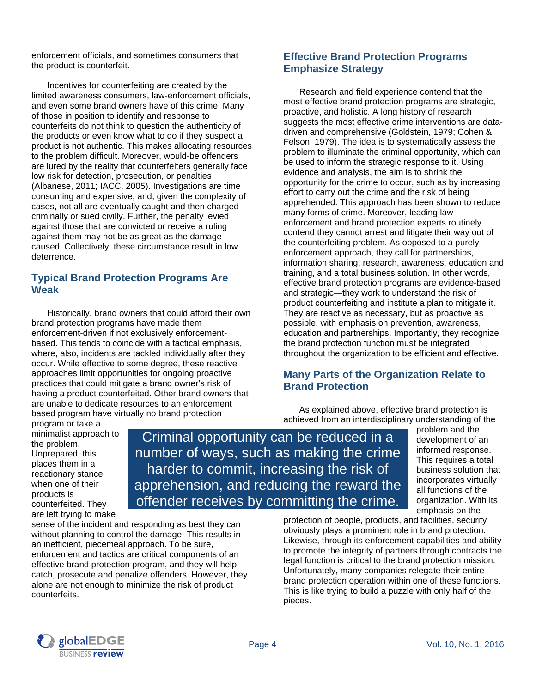enforcement officials, and sometimes consumers that the product is counterfeit.

 Incentives for counterfeiting are created by the limited awareness consumers, law-enforcement officials, and even some brand owners have of this crime. Many of those in position to identify and response to counterfeits do not think to question the authenticity of the products or even know what to do if they suspect a product is not authentic. This makes allocating resources to the problem difficult. Moreover, would-be offenders are lured by the reality that counterfeiters generally face low risk for detection, prosecution, or penalties (Albanese, 2011; IACC, 2005). Investigations are time consuming and expensive, and, given the complexity of cases, not all are eventually caught and then charged criminally or sued civilly. Further, the penalty levied against those that are convicted or receive a ruling against them may not be as great as the damage caused. Collectively, these circumstance result in low deterrence.

#### **Typical Brand Protection Programs Are Weak**

Historically, brand owners that could afford their own brand protection programs have made them enforcement-driven if not exclusively enforcementbased. This tends to coincide with a tactical emphasis, where, also, incidents are tackled individually after they occur. While effective to some degree, these reactive approaches limit opportunities for ongoing proactive practices that could mitigate a brand owner's risk of having a product counterfeited. Other brand owners that are unable to dedicate resources to an enforcement based program have virtually no brand protection

**Effective Brand Protection Programs Emphasize Strategy** 

Research and field experience contend that the most effective brand protection programs are strategic, proactive, and holistic. A long history of research suggests the most effective crime interventions are datadriven and comprehensive (Goldstein, 1979; Cohen & Felson, 1979). The idea is to systematically assess the problem to illuminate the criminal opportunity, which can be used to inform the strategic response to it. Using evidence and analysis, the aim is to shrink the opportunity for the crime to occur, such as by increasing effort to carry out the crime and the risk of being apprehended. This approach has been shown to reduce many forms of crime. Moreover, leading law enforcement and brand protection experts routinely contend they cannot arrest and litigate their way out of the counterfeiting problem. As opposed to a purely enforcement approach, they call for partnerships, information sharing, research, awareness, education and training, and a total business solution. In other words, effective brand protection programs are evidence-based and strategic—they work to understand the risk of product counterfeiting and institute a plan to mitigate it. They are reactive as necessary, but as proactive as possible, with emphasis on prevention, awareness, education and partnerships. Importantly, they recognize the brand protection function must be integrated throughout the organization to be efficient and effective.

#### **Many Parts of the Organization Relate to Brand Protection**

As explained above, effective brand protection is achieved from an interdisciplinary understanding of the

program or take a minimalist approach to the problem. Unprepared, this places them in a reactionary stance when one of their products is counterfeited. They are left trying to make

Criminal opportunity can be reduced in a number of ways, such as making the crime harder to commit, increasing the risk of apprehension, and reducing the reward the offender receives by committing the crime.

problem and the development of an informed response. This requires a total business solution that incorporates virtually all functions of the organization. With its emphasis on the

sense of the incident and responding as best they can without planning to control the damage. This results in an inefficient, piecemeal approach. To be sure, enforcement and tactics are critical components of an effective brand protection program, and they will help catch, prosecute and penalize offenders. However, they alone are not enough to minimize the risk of product counterfeits.

protection of people, products, and facilities, security obviously plays a prominent role in brand protection. Likewise, through its enforcement capabilities and ability to promote the integrity of partners through contracts the legal function is critical to the brand protection mission. Unfortunately, many companies relegate their entire brand protection operation within one of these functions. This is like trying to build a puzzle with only half of the pieces.

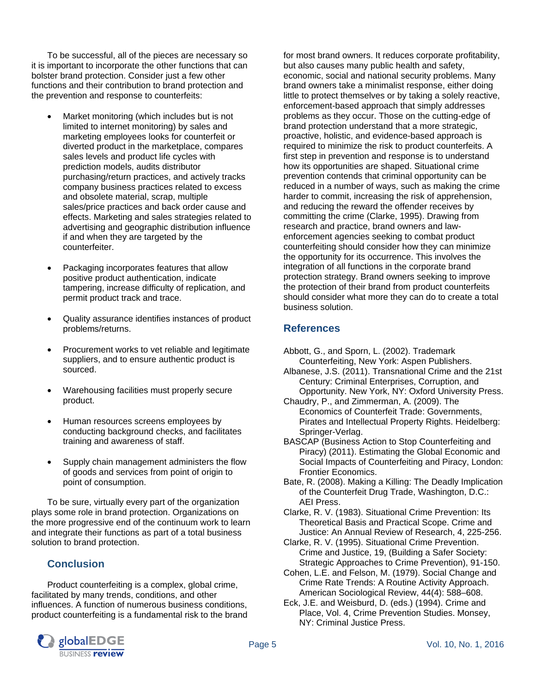To be successful, all of the pieces are necessary so it is important to incorporate the other functions that can bolster brand protection. Consider just a few other functions and their contribution to brand protection and the prevention and response to counterfeits:

- Market monitoring (which includes but is not limited to internet monitoring) by sales and marketing employees looks for counterfeit or diverted product in the marketplace, compares sales levels and product life cycles with prediction models, audits distributor purchasing/return practices, and actively tracks company business practices related to excess and obsolete material, scrap, multiple sales/price practices and back order cause and effects. Marketing and sales strategies related to advertising and geographic distribution influence if and when they are targeted by the counterfeiter.
- Packaging incorporates features that allow positive product authentication, indicate tampering, increase difficulty of replication, and permit product track and trace.
- Quality assurance identifies instances of product problems/returns.
- Procurement works to vet reliable and legitimate suppliers, and to ensure authentic product is sourced.
- Warehousing facilities must properly secure product.
- Human resources screens employees by conducting background checks, and facilitates training and awareness of staff.
- Supply chain management administers the flow of goods and services from point of origin to point of consumption.

To be sure, virtually every part of the organization plays some role in brand protection. Organizations on the more progressive end of the continuum work to learn and integrate their functions as part of a total business solution to brand protection.

## **Conclusion**

Product counterfeiting is a complex, global crime, facilitated by many trends, conditions, and other influences. A function of numerous business conditions, product counterfeiting is a fundamental risk to the brand



#### **References**

- Abbott, G., and Sporn, L. (2002). Trademark Counterfeiting, New York: Aspen Publishers.
- Albanese, J.S. (2011). Transnational Crime and the 21st Century: Criminal Enterprises, Corruption, and Opportunity. New York, NY: Oxford University Press.
- Chaudry, P., and Zimmerman, A. (2009). The Economics of Counterfeit Trade: Governments, Pirates and Intellectual Property Rights. Heidelberg: Springer-Verlag.
- BASCAP (Business Action to Stop Counterfeiting and Piracy) (2011). Estimating the Global Economic and Social Impacts of Counterfeiting and Piracy, London: Frontier Economics.
- Bate, R. (2008). Making a Killing: The Deadly Implication of the Counterfeit Drug Trade, Washington, D.C.: AEI Press.
- Clarke, R. V. (1983). Situational Crime Prevention: Its Theoretical Basis and Practical Scope. Crime and Justice: An Annual Review of Research, 4, 225-256.
- Clarke, R. V. (1995). Situational Crime Prevention. Crime and Justice, 19, (Building a Safer Society: Strategic Approaches to Crime Prevention), 91-150.
- Cohen, L.E. and Felson, M. (1979). Social Change and Crime Rate Trends: A Routine Activity Approach. American Sociological Review, 44(4): 588–608.
- Eck, J.E. and Weisburd, D. (eds.) (1994). Crime and Place, Vol. 4, Crime Prevention Studies. Monsey, NY: Criminal Justice Press.